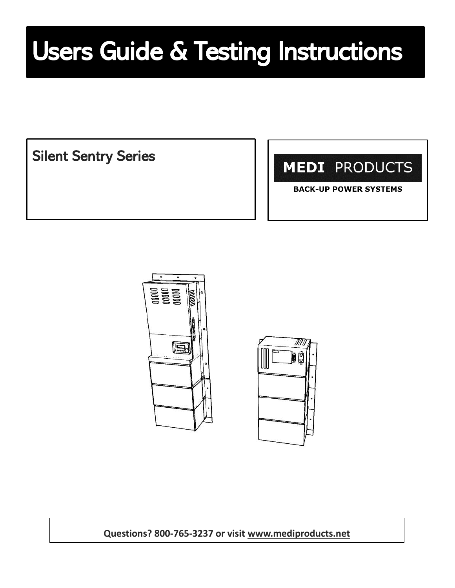# Users Guide & Testing Instructions

Silent Sentry Series

**MEDI PRODUCTS** 

**BACK-UP POWER SYSTEMS** 





**Questions? 800-765-3237 or visit [www.mediproducts.net](http://www.mediproducts.net/)**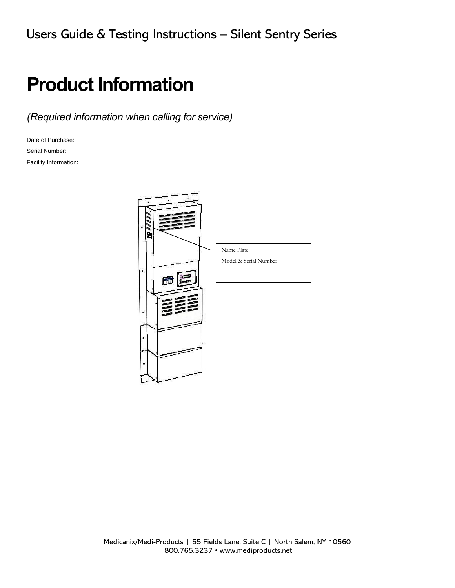# **Product Information**

*(Required information when calling for service)*

Date of Purchase: Serial Number: Facility Information:

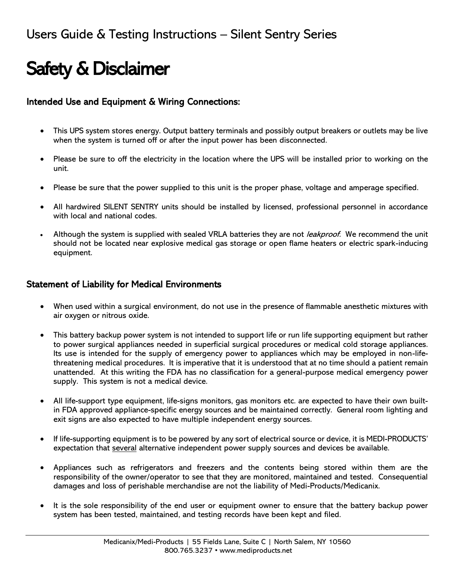# Safety & Disclaimer

#### Intended Use and Equipment & Wiring Connections:

- This UPS system stores energy. Output battery terminals and possibly output breakers or outlets may be live when the system is turned off or after the input power has been disconnected.
- Please be sure to off the electricity in the location where the UPS will be installed prior to working on the unit.
- Please be sure that the power supplied to this unit is the proper phase, voltage and amperage specified.
- All hardwired SILENT SENTRY units should be installed by licensed, professional personnel in accordance with local and national codes.
- Although the system is supplied with sealed VRLA batteries they are not *leakproof*. We recommend the unit should not be located near explosive medical gas storage or open flame heaters or electric spark-inducing equipment.

#### Statement of Liability for Medical Environments

- When used within a surgical environment, do not use in the presence of flammable anesthetic mixtures with air oxygen or nitrous oxide.
- This battery backup power system is not intended to support life or run life supporting equipment but rather to power surgical appliances needed in superficial surgical procedures or medical cold storage appliances. Its use is intended for the supply of emergency power to appliances which may be employed in non-lifethreatening medical procedures. It is imperative that it is understood that at no time should a patient remain unattended. At this writing the FDA has no classification for a general-purpose medical emergency power supply. This system is not a medical device.
- All life-support type equipment, life-signs monitors, gas monitors etc. are expected to have their own builtin FDA approved appliance-specific energy sources and be maintained correctly. General room lighting and exit signs are also expected to have multiple independent energy sources.
- If life-supporting equipment is to be powered by any sort of electrical source or device, it is MEDI-PRODUCTS' expectation that several alternative independent power supply sources and devices be available.
- Appliances such as refrigerators and freezers and the contents being stored within them are the responsibility of the owner/operator to see that they are monitored, maintained and tested. Consequential damages and loss of perishable merchandise are not the liability of Medi-Products/Medicanix.
- It is the sole responsibility of the end user or equipment owner to ensure that the battery backup power system has been tested, maintained, and testing records have been kept and filed.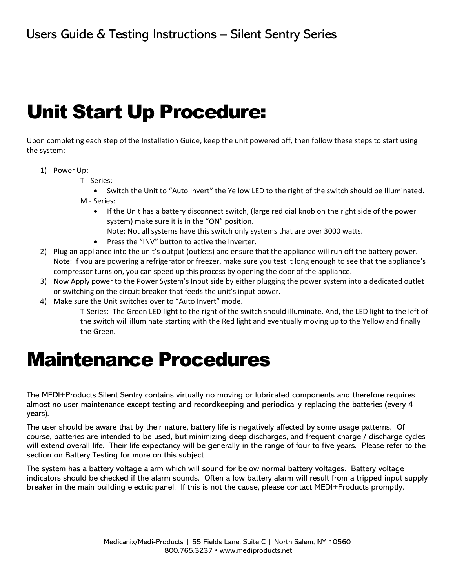# Unit Start Up Procedure:

Upon completing each step of the Installation Guide, keep the unit powered off, then follow these steps to start using the system:

- 1) Power Up:
	- T Series:
	- Switch the Unit to "Auto Invert" the Yellow LED to the right of the switch should be Illuminated. M - Series:
		- If the Unit has a battery disconnect switch, (large red dial knob on the right side of the power system) make sure it is in the "ON" position.
			- Note: Not all systems have this switch only systems that are over 3000 watts.
		- Press the "INV" button to active the Inverter.
- 2) Plug an appliance into the unit's output (outlets) and ensure that the appliance will run off the battery power. Note: If you are powering a refrigerator or freezer, make sure you test it long enough to see that the appliance's compressor turns on, you can speed up this process by opening the door of the appliance.
- 3) Now Apply power to the Power System's Input side by either plugging the power system into a dedicated outlet or switching on the circuit breaker that feeds the unit's input power.
- 4) Make sure the Unit switches over to "Auto Invert" mode.

T-Series: The Green LED light to the right of the switch should illuminate. And, the LED light to the left of the switch will illuminate starting with the Red light and eventually moving up to the Yellow and finally the Green.

# Maintenance Procedures

The MEDI+Products Silent Sentry contains virtually no moving or lubricated components and therefore requires almost no user maintenance except testing and recordkeeping and periodically replacing the batteries (every 4 years).

The user should be aware that by their nature, battery life is negatively affected by some usage patterns. Of course, batteries are intended to be used, but minimizing deep discharges, and frequent charge / discharge cycles will extend overall life. Their life expectancy will be generally in the range of four to five years. Please refer to the section on Battery Testing for more on this subject

The system has a battery voltage alarm which will sound for below normal battery voltages. Battery voltage indicators should be checked if the alarm sounds. Often a low battery alarm will result from a tripped input supply breaker in the main building electric panel. If this is not the cause, please contact MEDI+Products promptly.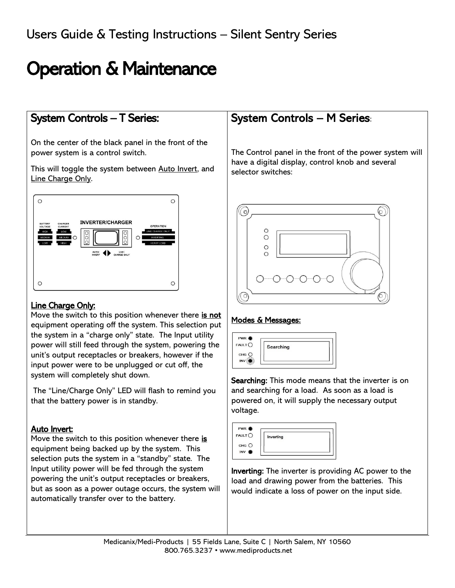# Operation & Maintenance

### System Controls – T Series:

On the center of the black panel in the front of the power system is a control switch.

This will toggle the system between Auto Invert, and Line Charge Only.



#### Line Charge Only:

Move the switch to this position whenever there is not equipment operating off the system. This selection put the system in a "charge only" state. The Input utility power will still feed through the system, powering the unit's output receptacles or breakers, however if the input power were to be unplugged or cut off, the system will completely shut down.

The "Line/Charge Only" LED will flash to remind you that the battery power is in standby.

#### Auto Invert:

Move the switch to this position whenever there is equipment being backed up by the system. This selection puts the system in a "standby" state. The Input utility power will be fed through the system powering the unit's output receptacles or breakers, but as soon as a power outage occurs, the system will automatically transfer over to the battery.

### System Controls – M Series:

The Control panel in the front of the power system will have a digital display, control knob and several selector switches:



#### Modes & Messages:



Searching: This mode means that the inverter is on and searching for a load. As soon as a load is powered on, it will supply the necessary output voltage.



Inverting: The inverter is providing AC power to the load and drawing power from the batteries. This would indicate a loss of power on the input side.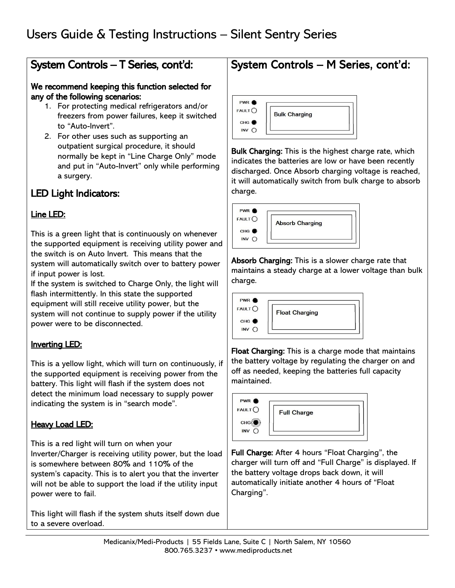### System Controls – T Series, cont'd:

#### We recommend keeping this function selected for any of the following scenarios:

- 1. For protecting medical refrigerators and/or freezers from power failures, keep it switched to "Auto-Invert".
- 2. For other uses such as supporting an outpatient surgical procedure, it should normally be kept in "Line Charge Only" mode and put in "Auto-Invert" only while performing a surgery.

### LED Light Indicators:

#### Line LED:

This is a green light that is continuously on whenever the supported equipment is receiving utility power and the switch is on Auto Invert. This means that the system will automatically switch over to battery power if input power is lost.

If the system is switched to Charge Only, the light will flash intermittently. In this state the supported equipment will still receive utility power, but the system will not continue to supply power if the utility power were to be disconnected.

### Inverting LED:

This is a yellow light, which will turn on continuously, if the supported equipment is receiving power from the battery. This light will flash if the system does not detect the minimum load necessary to supply power indicating the system is in "search mode".

#### **Heavy Load LED:**

This is a red light will turn on when your Inverter/Charger is receiving utility power, but the load is somewhere between 80% and 110% of the system's capacity. This is to alert you that the inverter will not be able to support the load if the utility input power were to fail.

This light will flash if the system shuts itself down due to a severe overload.

#### PWR<sup><sup>®</sup></sup>  $FAULT$ **Bulk Charging** CHG<sup></sub></sup> INV O

Bulk Charging: This is the highest charge rate, which indicates the batteries are low or have been recently discharged. Once Absorb charging voltage is reached, it will automatically switch from bulk charge to absorb charge.

System Controls – M Series, cont'd:



Absorb Charging: This is a slower charge rate that maintains a steady charge at a lower voltage than bulk charge.



Float Charging: This is a charge mode that maintains the battery voltage by regulating the charger on and off as needed, keeping the batteries full capacity maintained.



Full Charge: After 4 hours "Float Charging", the charger will turn off and "Full Charge" is displayed. If the battery voltage drops back down, it will automatically initiate another 4 hours of "Float Charging".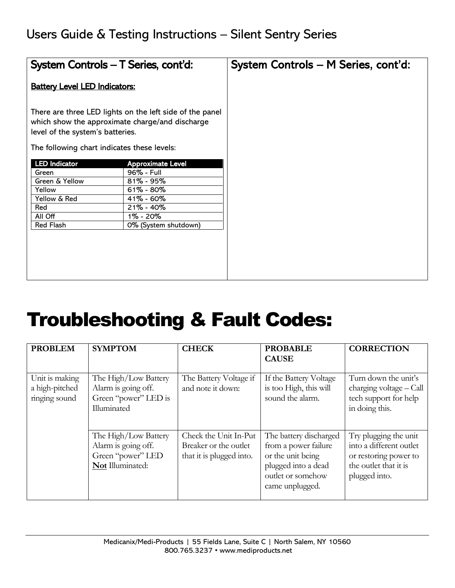| System Controls - T Series, cont'd:                                                                                                |                                                          | System Controls - M Series, cont'd: |
|------------------------------------------------------------------------------------------------------------------------------------|----------------------------------------------------------|-------------------------------------|
| <b>Battery Level LED Indicators:</b>                                                                                               |                                                          |                                     |
| which show the approximate charge/and discharge<br>level of the system's batteries.<br>The following chart indicates these levels: | There are three LED lights on the left side of the panel |                                     |
| <b>LED Indicator</b>                                                                                                               | <b>Approximate Level</b>                                 |                                     |
| Green                                                                                                                              | 96% - Full                                               |                                     |
| Green & Yellow                                                                                                                     | $81\% - 95\%$                                            |                                     |
| Yellow                                                                                                                             | $61\% - 80\%$                                            |                                     |
| Yellow & Red                                                                                                                       | $41\% - 60\%$                                            |                                     |
| Red                                                                                                                                | 21% - 40%                                                |                                     |
| All Off                                                                                                                            | 1% - 20%                                                 |                                     |
| <b>Red Flash</b>                                                                                                                   | 0% (System shutdown)                                     |                                     |
|                                                                                                                                    |                                                          |                                     |
|                                                                                                                                    |                                                          |                                     |
|                                                                                                                                    |                                                          |                                     |
|                                                                                                                                    |                                                          |                                     |
|                                                                                                                                    |                                                          |                                     |

# Troubleshooting & Fault Codes:

| <b>PROBLEM</b>                                    | <b>SYMPTOM</b>                                                                       | <b>CHECK</b>                                                               | <b>PROBABLE</b><br><b>CAUSE</b>                                                                                                    | <b>CORRECTION</b>                                                                                                   |
|---------------------------------------------------|--------------------------------------------------------------------------------------|----------------------------------------------------------------------------|------------------------------------------------------------------------------------------------------------------------------------|---------------------------------------------------------------------------------------------------------------------|
| Unit is making<br>a high-pitched<br>ringing sound | The High/Low Battery<br>Alarm is going off.<br>Green "power" LED is<br>Illuminated   | The Battery Voltage if<br>and note it down:                                | If the Battery Voltage<br>is too High, this will<br>sound the alarm.                                                               | Turn down the unit's<br>charging voltage - Call<br>tech support for help<br>in doing this.                          |
|                                                   | The High/Low Battery<br>Alarm is going off.<br>Green "power" LED<br>Not Illuminated: | Check the Unit In-Put<br>Breaker or the outlet<br>that it is plugged into. | The battery discharged<br>from a power failure<br>or the unit being<br>plugged into a dead<br>outlet or somehow<br>came unplugged. | Try plugging the unit<br>into a different outlet<br>or restoring power to<br>the outlet that it is<br>plugged into. |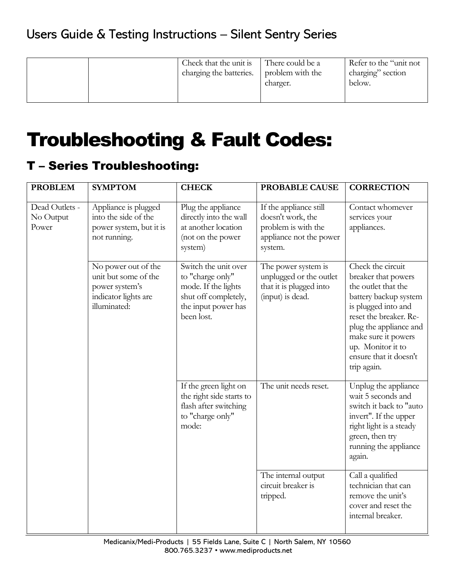|  | Check that the unit is<br>charging the batteries. | There could be a<br>problem with the<br>charger. | Refer to the "unit not<br>charging" section<br>below. |
|--|---------------------------------------------------|--------------------------------------------------|-------------------------------------------------------|
|--|---------------------------------------------------|--------------------------------------------------|-------------------------------------------------------|

# Troubleshooting & Fault Codes:

### T – Series Troubleshooting:

| <b>PROBLEM</b>                       | <b>SYMPTOM</b>                                                                                        | <b>CHECK</b>                                                                                                                 | PROBABLE CAUSE                                                                                           | <b>CORRECTION</b>                                                                                                                                                                                                                                        |
|--------------------------------------|-------------------------------------------------------------------------------------------------------|------------------------------------------------------------------------------------------------------------------------------|----------------------------------------------------------------------------------------------------------|----------------------------------------------------------------------------------------------------------------------------------------------------------------------------------------------------------------------------------------------------------|
| Dead Outlets -<br>No Output<br>Power | Appliance is plugged<br>into the side of the<br>power system, but it is<br>not running.               | Plug the appliance<br>directly into the wall<br>at another location<br>(not on the power<br>system)                          | If the appliance still<br>doesn't work, the<br>problem is with the<br>appliance not the power<br>system. | Contact whomever<br>services your<br>appliances.                                                                                                                                                                                                         |
|                                      | No power out of the<br>unit but some of the<br>power system's<br>indicator lights are<br>illuminated: | Switch the unit over<br>to "charge only"<br>mode. If the lights<br>shut off completely,<br>the input power has<br>been lost. | The power system is<br>unplugged or the outlet<br>that it is plugged into<br>(input) is dead.            | Check the circuit<br>breaker that powers<br>the outlet that the<br>battery backup system<br>is plugged into and<br>reset the breaker. Re-<br>plug the appliance and<br>make sure it powers<br>up. Monitor it to<br>ensure that it doesn't<br>trip again. |
|                                      |                                                                                                       | If the green light on<br>the right side starts to<br>flash after switching<br>to "charge only"<br>mode:                      | The unit needs reset.                                                                                    | Unplug the appliance<br>wait 5 seconds and<br>switch it back to "auto<br>invert". If the upper<br>right light is a steady<br>green, then try<br>running the appliance<br>again.                                                                          |
|                                      |                                                                                                       |                                                                                                                              | The internal output<br>circuit breaker is<br>tripped.                                                    | Call a qualified<br>technician that can<br>remove the unit's<br>cover and reset the<br>internal breaker.                                                                                                                                                 |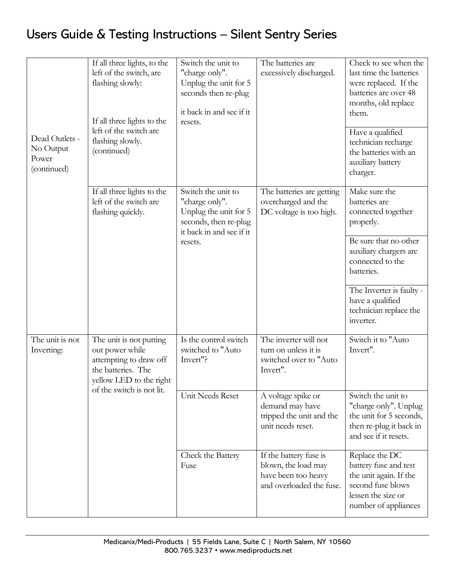|                                                     | If all three lights, to the<br>left of the switch, are<br>flashing slowly:<br>If all three lights to the                                           | Switch the unit to<br>"charge only".<br>Unplug the unit for 5<br>seconds then re-plug<br>it back in and see if it<br>resets. | The batteries are<br>excessively discharged.                                                     | Check to see when the<br>last time the batteries<br>were replaced. If the<br>batteries are over 48<br>months, old replace<br>them.   |
|-----------------------------------------------------|----------------------------------------------------------------------------------------------------------------------------------------------------|------------------------------------------------------------------------------------------------------------------------------|--------------------------------------------------------------------------------------------------|--------------------------------------------------------------------------------------------------------------------------------------|
| Dead Outlets -<br>No Output<br>Power<br>(continued) | left of the switch are<br>flashing slowly.<br>(continued)                                                                                          |                                                                                                                              |                                                                                                  | Have a qualified<br>technician recharge<br>the batteries with an<br>auxiliary battery<br>charger.                                    |
|                                                     | If all three lights to the<br>left of the switch are<br>flashing quickly.                                                                          | Switch the unit to<br>"charge only".<br>Unplug the unit for 5<br>seconds, then re-plug<br>it back in and see if it           | The batteries are getting<br>overcharged and the<br>DC voltage is too high.                      | Make sure the<br>batteries are<br>connected together<br>properly.                                                                    |
|                                                     |                                                                                                                                                    | resets.                                                                                                                      |                                                                                                  | Be sure that no other<br>auxiliary chargers are<br>connected to the<br>batteries.                                                    |
|                                                     |                                                                                                                                                    |                                                                                                                              |                                                                                                  | The Inverter is faulty -<br>have a qualified<br>technician replace the<br>inverter.                                                  |
| The unit is not<br>Inverting:                       | The unit is not putting<br>out power while<br>attempting to draw off<br>the batteries. The<br>yellow LED to the right<br>of the switch is not lit. | Is the control switch<br>switched to "Auto<br>Invert"?                                                                       | The inverter will not<br>turn on unless it is<br>switched over to "Auto<br>Invert".              | Switch it to "Auto<br>Invert".                                                                                                       |
|                                                     |                                                                                                                                                    | Unit Needs Reset                                                                                                             | A voltage spike or<br>demand may have<br>tripped the unit and the<br>unit needs reset.           | Switch the unit to<br>"charge only". Unplug<br>the unit for 5 seconds,<br>then re-plug it back in<br>and see if it resets.           |
|                                                     |                                                                                                                                                    | Check the Battery<br>Fuse                                                                                                    | If the battery fuse is<br>blown, the load may<br>have been too heavy<br>and overloaded the fuse. | Replace the DC<br>battery fuse and test<br>the unit again. If the<br>second fuse blows<br>lessen the size or<br>number of appliances |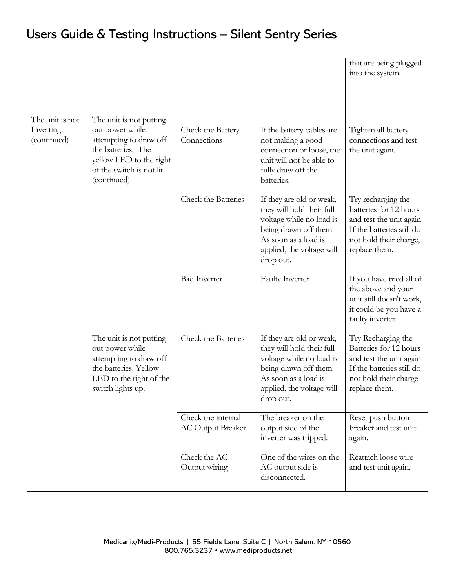|                                              |                                                                                                                                                                   |                                                |                                                                                                                                                                              | that are being plugged<br>into the system.                                                                                                       |
|----------------------------------------------|-------------------------------------------------------------------------------------------------------------------------------------------------------------------|------------------------------------------------|------------------------------------------------------------------------------------------------------------------------------------------------------------------------------|--------------------------------------------------------------------------------------------------------------------------------------------------|
| The unit is not<br>Inverting:<br>(continued) | The unit is not putting<br>out power while<br>attempting to draw off<br>the batteries. The<br>yellow LED to the right<br>of the switch is not lit.<br>(continued) | Check the Battery<br>Connections               | If the battery cables are<br>not making a good<br>connection or loose, the<br>unit will not be able to<br>fully draw off the<br>batteries.                                   | Tighten all battery<br>connections and test<br>the unit again.                                                                                   |
|                                              |                                                                                                                                                                   | Check the Batteries                            | If they are old or weak,<br>they will hold their full<br>voltage while no load is<br>being drawn off them.<br>As soon as a load is<br>applied, the voltage will<br>drop out. | Try recharging the<br>batteries for 12 hours<br>and test the unit again.<br>If the batteries still do<br>not hold their charge,<br>replace them. |
|                                              |                                                                                                                                                                   | <b>Bad Inverter</b>                            | <b>Faulty Inverter</b>                                                                                                                                                       | If you have tried all of<br>the above and your<br>unit still doesn't work,<br>it could be you have a<br>faulty inverter.                         |
|                                              | The unit is not putting<br>out power while<br>attempting to draw off<br>the batteries. Yellow<br>LED to the right of the<br>switch lights up.                     | Check the Batteries                            | If they are old or weak,<br>they will hold their full<br>voltage while no load is<br>being drawn off them.<br>As soon as a load is<br>applied, the voltage will<br>drop out. | Try Recharging the<br>Batteries for 12 hours<br>and test the unit again.<br>If the batteries still do<br>not hold their charge<br>replace them.  |
|                                              |                                                                                                                                                                   | Check the internal<br><b>AC Output Breaker</b> | The breaker on the<br>output side of the<br>inverter was tripped.                                                                                                            | Reset push button<br>breaker and test unit<br>again.                                                                                             |
|                                              |                                                                                                                                                                   | Check the AC<br>Output wiring                  | One of the wires on the<br>AC output side is<br>disconnected.                                                                                                                | Reattach loose wire<br>and test unit again.                                                                                                      |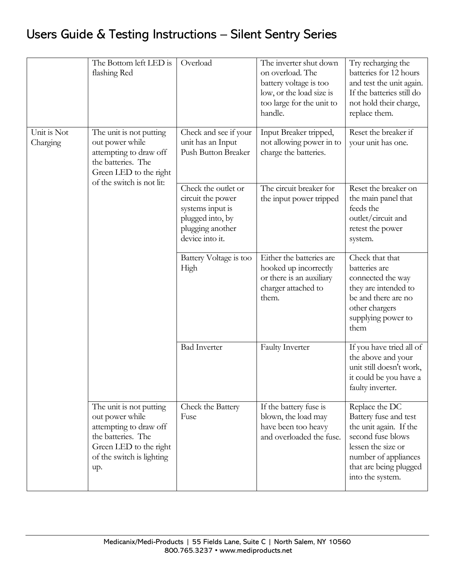|                         | The Bottom left LED is<br>flashing Red                                                                                                                   | Overload                                                                                                                | The inverter shut down<br>on overload. The<br>battery voltage is too<br>low, or the load size is<br>too large for the unit to<br>handle. | Try recharging the<br>batteries for 12 hours<br>and test the unit again.<br>If the batteries still do<br>not hold their charge,<br>replace them.                                   |
|-------------------------|----------------------------------------------------------------------------------------------------------------------------------------------------------|-------------------------------------------------------------------------------------------------------------------------|------------------------------------------------------------------------------------------------------------------------------------------|------------------------------------------------------------------------------------------------------------------------------------------------------------------------------------|
| Unit is Not<br>Charging | The unit is not putting<br>out power while<br>attempting to draw off<br>the batteries. The<br>Green LED to the right<br>of the switch is not lit:        | Check and see if your<br>unit has an Input<br>Push Button Breaker                                                       | Input Breaker tripped,<br>not allowing power in to<br>charge the batteries.                                                              | Reset the breaker if<br>your unit has one.                                                                                                                                         |
|                         |                                                                                                                                                          | Check the outlet or<br>circuit the power<br>systems input is<br>plugged into, by<br>plugging another<br>device into it. | The circuit breaker for<br>the input power tripped                                                                                       | Reset the breaker on<br>the main panel that<br>feeds the<br>outlet/circuit and<br>retest the power<br>system.                                                                      |
|                         |                                                                                                                                                          | Battery Voltage is too<br>High                                                                                          | Either the batteries are<br>hooked up incorrectly<br>or there is an auxiliary<br>charger attached to<br>them.                            | Check that that<br>batteries are<br>connected the way<br>they are intended to<br>be and there are no<br>other chargers<br>supplying power to<br>them                               |
|                         |                                                                                                                                                          | <b>Bad Inverter</b>                                                                                                     | <b>Faulty Inverter</b>                                                                                                                   | If you have tried all of<br>the above and your<br>unit still doesn't work,<br>it could be you have a<br>faulty inverter.                                                           |
|                         | The unit is not putting<br>out power while<br>attempting to draw off<br>the batteries. The<br>Green LED to the right<br>of the switch is lighting<br>up. | Check the Battery<br>Fuse                                                                                               | If the battery fuse is<br>blown, the load may<br>have been too heavy<br>and overloaded the fuse.                                         | Replace the DC<br>Battery fuse and test<br>the unit again. If the<br>second fuse blows<br>lessen the size or<br>number of appliances<br>that are being plugged<br>into the system. |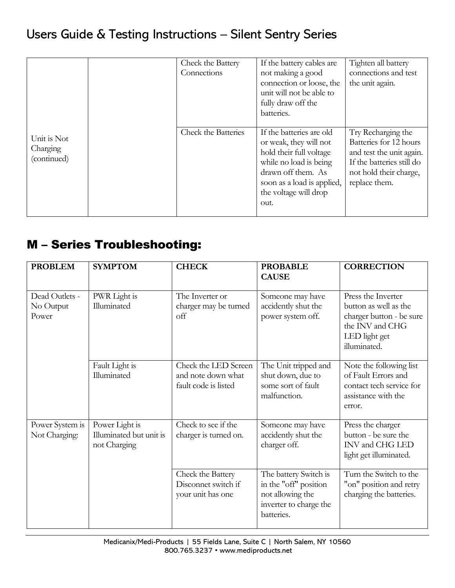|                                        | Check the Battery<br>Connections | If the battery cables are<br>not making a good<br>connection or loose, the<br>unit will not be able to<br>fully draw off the<br>batteries.                                                   | Tighten all battery<br>connections and test<br>the unit again.                                                                                   |
|----------------------------------------|----------------------------------|----------------------------------------------------------------------------------------------------------------------------------------------------------------------------------------------|--------------------------------------------------------------------------------------------------------------------------------------------------|
| Unit is Not<br>Charging<br>(continued) | <b>Check the Batteries</b>       | If the batteries are old<br>or weak, they will not<br>hold their full voltage<br>while no load is being<br>drawn off them. As<br>soon as a load is applied,<br>the voltage will drop<br>out. | Try Recharging the<br>Batteries for 12 hours<br>and test the unit again.<br>If the batteries still do<br>not hold their charge,<br>replace them. |

### M – Series Troubleshooting:

| <b>PROBLEM</b>                       | <b>SYMPTOM</b>                                            | <b>CHECK</b>                                                       | <b>PROBABLE</b><br><b>CAUSE</b>                                                                            | <b>CORRECTION</b>                                                                                                           |
|--------------------------------------|-----------------------------------------------------------|--------------------------------------------------------------------|------------------------------------------------------------------------------------------------------------|-----------------------------------------------------------------------------------------------------------------------------|
| Dead Outlets -<br>No Output<br>Power | PWR Light is<br>Illuminated                               | The Inverter or<br>charger may be turned<br>off                    | Someone may have<br>accidently shut the<br>power system off.                                               | Press the Inverter<br>button as well as the<br>charger button - be sure<br>the INV and CHG<br>LED light get<br>illuminated. |
|                                      | Fault Light is<br>Illuminated                             | Check the LED Screen<br>and note down what<br>fault code is listed | The Unit tripped and<br>shut down, due to<br>some sort of fault<br>malfunction.                            | Note the following list<br>of Fault Errors and<br>contact tech service for<br>assistance with the<br>error.                 |
| Power System is<br>Not Charging:     | Power Light is<br>Illuminated but unit is<br>not Charging | Check to see if the<br>charger is turned on.                       | Someone may have<br>accidently shut the<br>charger off.                                                    | Press the charger<br>button - be sure the<br>INV and CHG LED<br>light get illuminated.                                      |
|                                      |                                                           | Check the Battery<br>Disconnet switch if<br>your unit has one      | The battery Switch is<br>in the "off" position<br>not allowing the<br>inverter to charge the<br>batteries. | Turn the Switch to the<br>"on" position and retry<br>charging the batteries.                                                |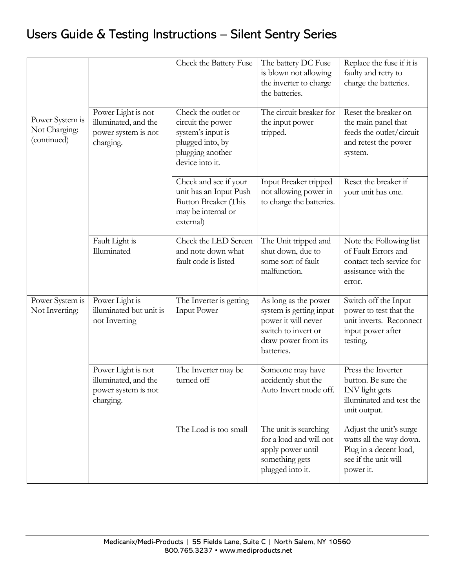|                                                 |                                                                                | Check the Battery Fuse                                                                                                   | The battery DC Fuse<br>is blown not allowing<br>the inverter to charge<br>the batteries.                                           | Replace the fuse if it is<br>faulty and retry to<br>charge the batteries.                                         |
|-------------------------------------------------|--------------------------------------------------------------------------------|--------------------------------------------------------------------------------------------------------------------------|------------------------------------------------------------------------------------------------------------------------------------|-------------------------------------------------------------------------------------------------------------------|
| Power System is<br>Not Charging:<br>(continued) | Power Light is not<br>illuminated, and the<br>power system is not<br>charging. | Check the outlet or<br>circuit the power<br>system's input is<br>plugged into, by<br>plugging another<br>device into it. | The circuit breaker for<br>the input power<br>tripped.                                                                             | Reset the breaker on<br>the main panel that<br>feeds the outlet/circuit<br>and retest the power<br>system.        |
|                                                 |                                                                                | Check and see if your<br>unit has an Input Push<br>Button Breaker (This<br>may be internal or<br>external)               | Input Breaker tripped<br>not allowing power in<br>to charge the batteries.                                                         | Reset the breaker if<br>your unit has one.                                                                        |
|                                                 | Fault Light is<br>Illuminated                                                  | Check the LED Screen<br>and note down what<br>fault code is listed                                                       | The Unit tripped and<br>shut down, due to<br>some sort of fault<br>malfunction.                                                    | Note the Following list<br>of Fault Errors and<br>contact tech service for<br>assistance with the<br>error.       |
| Power System is<br>Not Inverting:               | Power Light is<br>illuminated but unit is<br>not Inverting                     | The Inverter is getting<br><b>Input Power</b>                                                                            | As long as the power<br>system is getting input<br>power it will never<br>switch to invert or<br>draw power from its<br>batteries. | Switch off the Input<br>power to test that the<br>unit inverts. Reconnect<br>input power after<br>testing.        |
|                                                 | Power Light is not<br>illuminated, and the<br>power system is not<br>charging. | The Inverter may be<br>turned off                                                                                        | Someone may have<br>accidently shut the<br>Auto Invert mode off.                                                                   | Press the Inverter<br>button. Be sure the<br><b>INV</b> light gets<br>illuminated and test the<br>unit output.    |
|                                                 |                                                                                | The Load is too small                                                                                                    | The unit is searching<br>for a load and will not<br>apply power until<br>something gets<br>plugged into it.                        | Adjust the unit's surge<br>watts all the way down.<br>Plug in a decent load,<br>see if the unit will<br>power it. |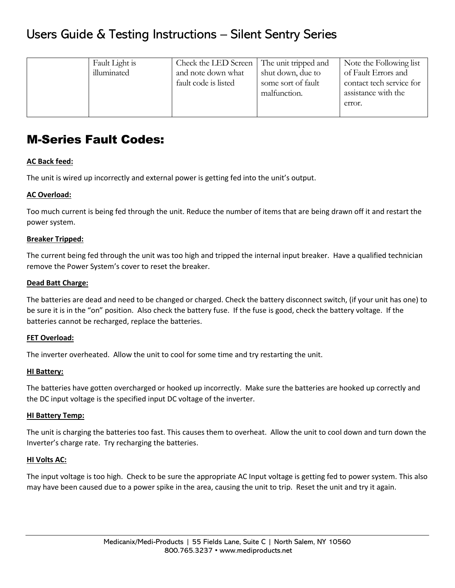| Fault Light is<br>illuminated | Check the LED Screen<br>and note down what<br>fault code is listed | The unit tripped and<br>shut down, due to<br>some sort of fault<br>malfunction. | Note the Following list<br>of Fault Errors and<br>contact tech service for<br>assistance with the<br>error. |
|-------------------------------|--------------------------------------------------------------------|---------------------------------------------------------------------------------|-------------------------------------------------------------------------------------------------------------|
|-------------------------------|--------------------------------------------------------------------|---------------------------------------------------------------------------------|-------------------------------------------------------------------------------------------------------------|

### M-Series Fault Codes:

#### **AC Back feed:**

The unit is wired up incorrectly and external power is getting fed into the unit's output.

#### **AC Overload:**

Too much current is being fed through the unit. Reduce the number of items that are being drawn off it and restart the power system.

#### **Breaker Tripped:**

The current being fed through the unit was too high and tripped the internal input breaker. Have a qualified technician remove the Power System's cover to reset the breaker.

#### **Dead Batt Charge:**

The batteries are dead and need to be changed or charged. Check the battery disconnect switch, (if your unit has one) to be sure it is in the "on" position. Also check the battery fuse. If the fuse is good, check the battery voltage. If the batteries cannot be recharged, replace the batteries.

#### **FET Overload:**

The inverter overheated. Allow the unit to cool for some time and try restarting the unit.

#### **HI Battery:**

The batteries have gotten overcharged or hooked up incorrectly. Make sure the batteries are hooked up correctly and the DC input voltage is the specified input DC voltage of the inverter.

#### **HI Battery Temp:**

The unit is charging the batteries too fast. This causes them to overheat. Allow the unit to cool down and turn down the Inverter's charge rate. Try recharging the batteries.

#### **HI Volts AC:**

The input voltage is too high. Check to be sure the appropriate AC Input voltage is getting fed to power system. This also may have been caused due to a power spike in the area, causing the unit to trip. Reset the unit and try it again.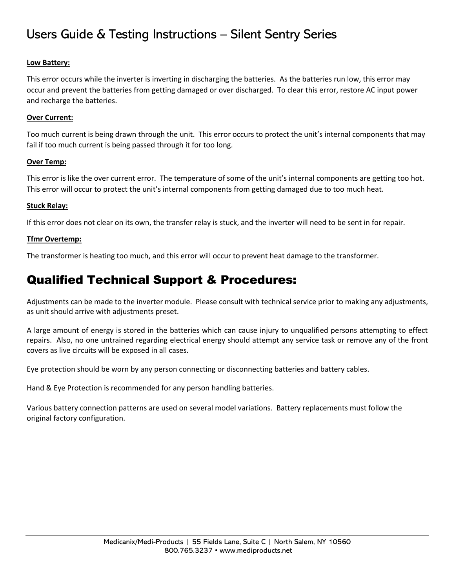#### **Low Battery:**

This error occurs while the inverter is inverting in discharging the batteries. As the batteries run low, this error may occur and prevent the batteries from getting damaged or over discharged. To clear this error, restore AC input power and recharge the batteries.

#### **Over Current:**

Too much current is being drawn through the unit. This error occurs to protect the unit's internal components that may fail if too much current is being passed through it for too long.

#### **Over Temp:**

This error is like the over current error. The temperature of some of the unit's internal components are getting too hot. This error will occur to protect the unit's internal components from getting damaged due to too much heat.

#### **Stuck Relay:**

If this error does not clear on its own, the transfer relay is stuck, and the inverter will need to be sent in for repair.

#### **Tfmr Overtemp:**

The transformer is heating too much, and this error will occur to prevent heat damage to the transformer.

### Qualified Technical Support & Procedures:

Adjustments can be made to the inverter module. Please consult with technical service prior to making any adjustments, as unit should arrive with adjustments preset.

A large amount of energy is stored in the batteries which can cause injury to unqualified persons attempting to effect repairs. Also, no one untrained regarding electrical energy should attempt any service task or remove any of the front covers as live circuits will be exposed in all cases.

Eye protection should be worn by any person connecting or disconnecting batteries and battery cables.

Hand & Eye Protection is recommended for any person handling batteries.

Various battery connection patterns are used on several model variations. Battery replacements must follow the original factory configuration.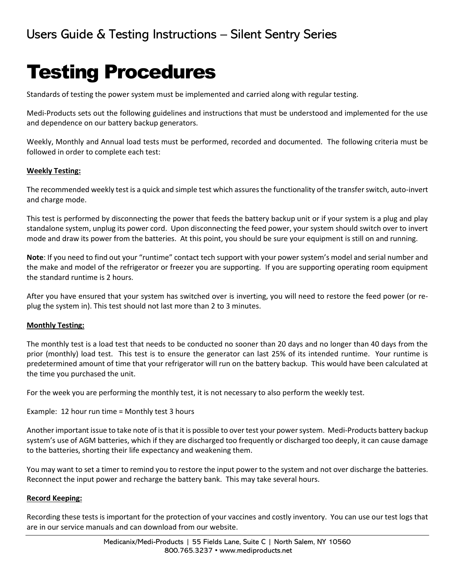# Testing Procedures

Standards of testing the power system must be implemented and carried along with regular testing.

Medi-Products sets out the following guidelines and instructions that must be understood and implemented for the use and dependence on our battery backup generators.

Weekly, Monthly and Annual load tests must be performed, recorded and documented. The following criteria must be followed in order to complete each test:

#### **Weekly Testing:**

The recommended weekly test is a quick and simple test which assures the functionality of the transfer switch, auto-invert and charge mode.

This test is performed by disconnecting the power that feeds the battery backup unit or if your system is a plug and play standalone system, unplug its power cord. Upon disconnecting the feed power, your system should switch over to invert mode and draw its power from the batteries. At this point, you should be sure your equipment is still on and running.

**Note**: If you need to find out your "runtime" contact tech support with your power system's model and serial number and the make and model of the refrigerator or freezer you are supporting. If you are supporting operating room equipment the standard runtime is 2 hours.

After you have ensured that your system has switched over is inverting, you will need to restore the feed power (or replug the system in). This test should not last more than 2 to 3 minutes.

#### **Monthly Testing:**

The monthly test is a load test that needs to be conducted no sooner than 20 days and no longer than 40 days from the prior (monthly) load test. This test is to ensure the generator can last 25% of its intended runtime. Your runtime is predetermined amount of time that your refrigerator will run on the battery backup. This would have been calculated at the time you purchased the unit.

For the week you are performing the monthly test, it is not necessary to also perform the weekly test.

```
Example: 12 hour run time = Monthly test 3 hours
```
Another important issue to take note of is that it is possible to over test your power system. Medi-Products battery backup system's use of AGM batteries, which if they are discharged too frequently or discharged too deeply, it can cause damage to the batteries, shorting their life expectancy and weakening them.

You may want to set a timer to remind you to restore the input power to the system and not over discharge the batteries. Reconnect the input power and recharge the battery bank. This may take several hours.

#### **Record Keeping:**

Recording these tests is important for the protection of your vaccines and costly inventory. You can use our test logs that are in our service manuals and can download from our website.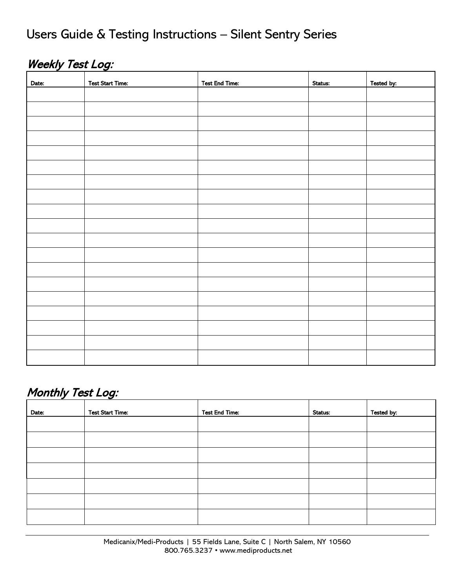### Weekly Test Log:

| Date: | <b>Test Start Time:</b> | <b>Test End Time:</b> | Status: | Tested by: |
|-------|-------------------------|-----------------------|---------|------------|
|       |                         |                       |         |            |
|       |                         |                       |         |            |
|       |                         |                       |         |            |
|       |                         |                       |         |            |
|       |                         |                       |         |            |
|       |                         |                       |         |            |
|       |                         |                       |         |            |
|       |                         |                       |         |            |
|       |                         |                       |         |            |
|       |                         |                       |         |            |
|       |                         |                       |         |            |
|       |                         |                       |         |            |
|       |                         |                       |         |            |
|       |                         |                       |         |            |
|       |                         |                       |         |            |
|       |                         |                       |         |            |
|       |                         |                       |         |            |
|       |                         |                       |         |            |
|       |                         |                       |         |            |

### Monthly Test Log:

| Date: | <b>Test Start Time:</b> | <b>Test End Time:</b> | <b>Status:</b> | Tested by: |
|-------|-------------------------|-----------------------|----------------|------------|
|       |                         |                       |                |            |
|       |                         |                       |                |            |
|       |                         |                       |                |            |
|       |                         |                       |                |            |
|       |                         |                       |                |            |
|       |                         |                       |                |            |
|       |                         |                       |                |            |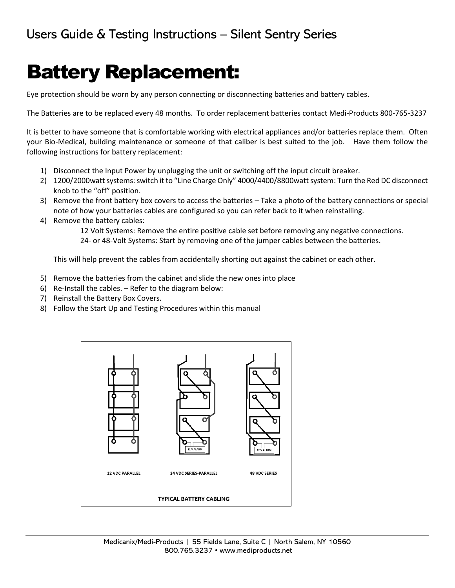# Battery Replacement:

Eye protection should be worn by any person connecting or disconnecting batteries and battery cables.

The Batteries are to be replaced every 48 months. To order replacement batteries contact Medi-Products 800-765-3237

It is better to have someone that is comfortable working with electrical appliances and/or batteries replace them. Often your Bio-Medical, building maintenance or someone of that caliber is best suited to the job. Have them follow the following instructions for battery replacement:

- 1) Disconnect the Input Power by unplugging the unit or switching off the input circuit breaker.
- 2) 1200/2000watt systems: switch it to "Line Charge Only" 4000/4400/8800watt system: Turn the Red DC disconnect knob to the "off" position.
- 3) Remove the front battery box covers to access the batteries Take a photo of the battery connections or special note of how your batteries cables are configured so you can refer back to it when reinstalling.
- 4) Remove the battery cables:

12 Volt Systems: Remove the entire positive cable set before removing any negative connections. 24- or 48-Volt Systems: Start by removing one of the jumper cables between the batteries.

This will help prevent the cables from accidentally shorting out against the cabinet or each other.

- 5) Remove the batteries from the cabinet and slide the new ones into place
- 6) Re-Install the cables. Refer to the diagram below:
- 7) Reinstall the Battery Box Covers.
- 8) Follow the Start Up and Testing Procedures within this manual

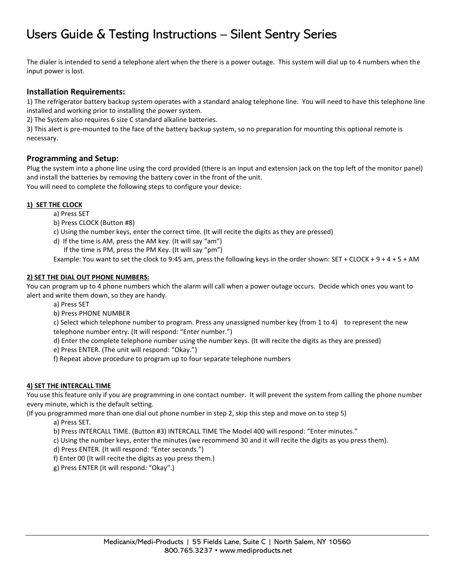The dialer is intended to send a telephone alert when the there is a power outage. This system will dial up to 4 numbers when the input power is lost.

#### **Installation Requirements:**

1) The refrigerator battery backup system operates with a standard analog telephone line. You will need to have this telephone line installed and working prior to installing the power system.

2) The System also requires 6 size C standard alkaline batteries.

3) This alert is pre-mounted to the face of the battery backup system, so no preparation for mounting this optional remote is necessary.

#### **Programming and Setup:**

Plug the system into a phone line using the cord provided (there is an input and extension jack on the top left of the monitor panel) and install the batteries by removing the battery cover in the front of the unit. You will need to complete the following steps to configure your device:

#### **1) SET THE CLOCK**

- a) Press SET
- b) Press CLOCK (Button #8)
- c) Using the number keys, enter the correct time. (It will recite the digits as they are pressed)
- d) If the time is AM, press the AM key. (It will say "am")
	- If the time is PM, press the PM Key. (It will say "pm")

Example: You want to set the clock to 9:45 am, press the following keys in the order shown: SET + CLOCK + 9 + 4 + 5 + AM

#### **2) SET THE DIAL OUT PHONE NUMBERS:**

You can program up to 4 phone numbers which the alarm will call when a power outage occurs. Decide which ones you want to alert and write them down, so they are handy.

- a) Press SET
- b) Press PHONE NUMBER

c) Select which telephone number to program. Press any unassigned number key (from 1 to 4) to represent the new telephone number entry. (It will respond: "Enter number.")

- d) Enter the complete telephone number using the number keys. (It will recite the digits as they are pressed)
- e) Press ENTER. (The unit will respond: "Okay.")
- f) Repeat above procedure to program up to four separate telephone numbers

#### **4) SET THE INTERCALL TIME**

You use this feature only if you are programming in one contact number. It will prevent the system from calling the phone number every minute, which is the default setting.

(If you programmed more than one dial out phone number in step 2, skip this step and move on to step 5)

a) Press SET.

b) Press INTERCALL TIME. (Button #3) INTERCALL TIME The Model 400 will respond: "Enter minutes."

c) Using the number keys, enter the minutes (we recommend 30 and it will recite the digits as you press them).

d) Press ENTER. (It will respond: "Enter seconds.")

f) Enter 00 (It will recite the digits as you press them.)

g) Press ENTER (It will respond: "Okay".)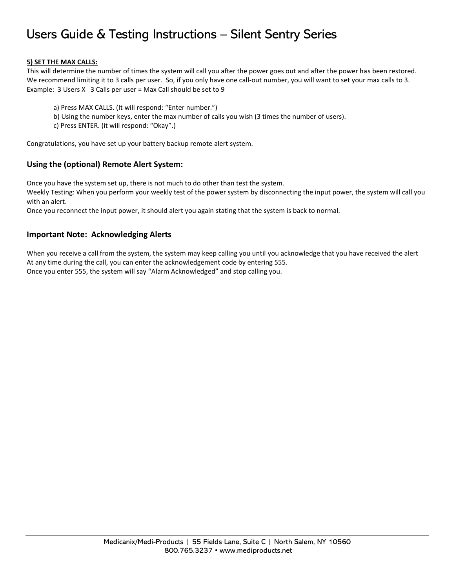#### **5) SET THE MAX CALLS:**

This will determine the number of times the system will call you after the power goes out and after the power has been restored. We recommend limiting it to 3 calls per user. So, if you only have one call-out number, you will want to set your max calls to 3. Example: 3 Users X 3 Calls per user = Max Call should be set to 9

- a) Press MAX CALLS. (It will respond: "Enter number.")
- b) Using the number keys, enter the max number of calls you wish (3 times the number of users).
- c) Press ENTER. (it will respond: "Okay".)

Congratulations, you have set up your battery backup remote alert system.

#### **Using the (optional) Remote Alert System:**

Once you have the system set up, there is not much to do other than test the system.

Weekly Testing: When you perform your weekly test of the power system by disconnecting the input power, the system will call you with an alert.

Once you reconnect the input power, it should alert you again stating that the system is back to normal.

#### **Important Note: Acknowledging Alerts**

When you receive a call from the system, the system may keep calling you until you acknowledge that you have received the alert At any time during the call, you can enter the acknowledgement code by entering 555. Once you enter 555, the system will say "Alarm Acknowledged" and stop calling you.